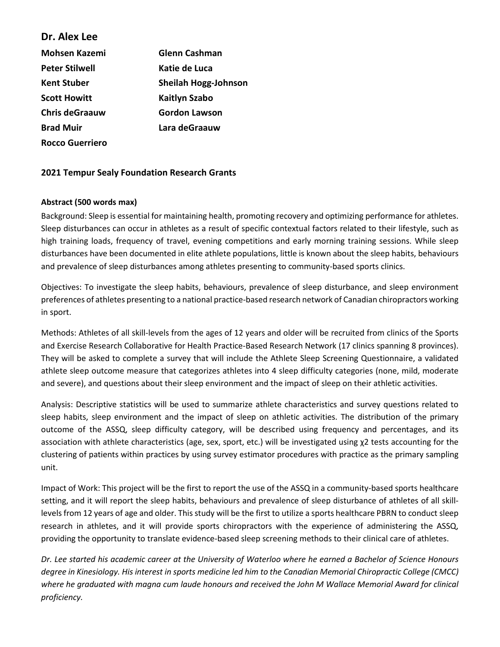## **Dr. Alex Lee**

| <b>Mohsen Kazemi</b>   | <b>Glenn Cashman</b>        |
|------------------------|-----------------------------|
| <b>Peter Stilwell</b>  | Katie de Luca               |
| Kent Stuber            | <b>Sheilah Hogg-Johnson</b> |
| <b>Scott Howitt</b>    | <b>Kaitlyn Szabo</b>        |
| <b>Chris deGraauw</b>  | <b>Gordon Lawson</b>        |
| <b>Brad Muir</b>       | Lara deGraauw               |
| <b>Rocco Guerriero</b> |                             |

## **2021 Tempur Sealy Foundation Research Grants**

## **Abstract (500 words max)**

Background: Sleep is essential for maintaining health, promoting recovery and optimizing performance for athletes. Sleep disturbances can occur in athletes as a result of specific contextual factors related to their lifestyle, such as high training loads, frequency of travel, evening competitions and early morning training sessions. While sleep disturbances have been documented in elite athlete populations, little is known about the sleep habits, behaviours and prevalence of sleep disturbances among athletes presenting to community-based sports clinics.

Objectives: To investigate the sleep habits, behaviours, prevalence of sleep disturbance, and sleep environment preferences of athletes presenting to a national practice-based research network of Canadian chiropractors working in sport.

Methods: Athletes of all skill-levels from the ages of 12 years and older will be recruited from clinics of the Sports and Exercise Research Collaborative for Health Practice-Based Research Network (17 clinics spanning 8 provinces). They will be asked to complete a survey that will include the Athlete Sleep Screening Questionnaire, a validated athlete sleep outcome measure that categorizes athletes into 4 sleep difficulty categories (none, mild, moderate and severe), and questions about their sleep environment and the impact of sleep on their athletic activities.

Analysis: Descriptive statistics will be used to summarize athlete characteristics and survey questions related to sleep habits, sleep environment and the impact of sleep on athletic activities. The distribution of the primary outcome of the ASSQ, sleep difficulty category, will be described using frequency and percentages, and its association with athlete characteristics (age, sex, sport, etc.) will be investigated using χ2 tests accounting for the clustering of patients within practices by using survey estimator procedures with practice as the primary sampling unit.

Impact of Work: This project will be the first to report the use of the ASSQ in a community-based sports healthcare setting, and it will report the sleep habits, behaviours and prevalence of sleep disturbance of athletes of all skilllevels from 12 years of age and older. This study will be the first to utilize a sports healthcare PBRN to conduct sleep research in athletes, and it will provide sports chiropractors with the experience of administering the ASSQ, providing the opportunity to translate evidence-based sleep screening methods to their clinical care of athletes.

*Dr. Lee started his academic career at the University of Waterloo where he earned a Bachelor of Science Honours degree in Kinesiology. His interest in sports medicine led him to the Canadian Memorial Chiropractic College (CMCC) where he graduated with magna cum laude honours and received the John M Wallace Memorial Award for clinical proficiency.*